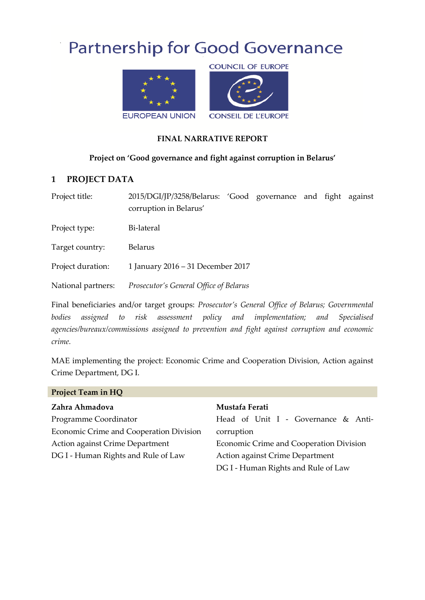# **Partnership for Good Governance**



#### **FINAL NARRATIVE REPORT**

#### **Project on 'Good governance and fight against corruption in Belarus'**

#### **1 PROJECT DATA**

Project title: 2015/DGI/JP/3258/Belarus: 'Good governance and fight against corruption in Belarus'

Project type: Bi-lateral

Target country: Belarus

Project duration: 1 January 2016 – 31 December 2017

National partners: *Prosecutor's General Office of Belarus*

Final beneficiaries and/or target groups: *Prosecutor's General Office of Belarus; Governmental*  bodies assigned to risk assessment policy and implementation; and Specialised *agencies/bureaux/commissions assigned to prevention and fight against corruption and economic crime.*

MAE implementing the project: Economic Crime and Cooperation Division, Action against Crime Department, DG I.

| Project Team in HQ                      |                                         |
|-----------------------------------------|-----------------------------------------|
| Zahra Ahmadova                          | Mustafa Ferati                          |
| Programme Coordinator                   | Head of Unit I - Governance & Anti-     |
| Economic Crime and Cooperation Division | corruption                              |
| Action against Crime Department         | Economic Crime and Cooperation Division |
| DG I - Human Rights and Rule of Law     | Action against Crime Department         |
|                                         | DG I - Human Rights and Rule of Law     |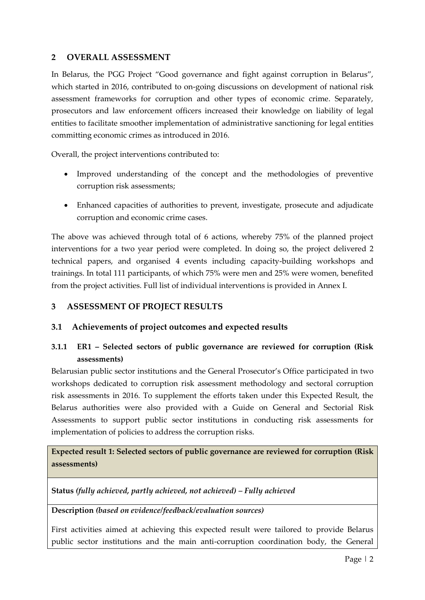### **2 OVERALL ASSESSMENT**

In Belarus, the PGG Project "Good governance and fight against corruption in Belarus", which started in 2016, contributed to on-going discussions on development of national risk assessment frameworks for corruption and other types of economic crime. Separately, prosecutors and law enforcement officers increased their knowledge on liability of legal entities to facilitate smoother implementation of administrative sanctioning for legal entities committing economic crimes as introduced in 2016.

Overall, the project interventions contributed to:

- Improved understanding of the concept and the methodologies of preventive corruption risk assessments;
- Enhanced capacities of authorities to prevent, investigate, prosecute and adjudicate corruption and economic crime cases.

The above was achieved through total of 6 actions, whereby 75% of the planned project interventions for a two year period were completed. In doing so, the project delivered 2 technical papers, and organised 4 events including capacity-building workshops and trainings. In total 111 participants, of which 75% were men and 25% were women, benefited from the project activities. Full list of individual interventions is provided in Annex I.

## **3 ASSESSMENT OF PROJECT RESULTS**

#### **3.1 Achievements of project outcomes and expected results**

## **3.1.1 ER1 – Selected sectors of public governance are reviewed for corruption (Risk assessments)**

Belarusian public sector institutions and the General Prosecutor's Office participated in two workshops dedicated to corruption risk assessment methodology and sectoral corruption risk assessments in 2016. To supplement the efforts taken under this Expected Result, the Belarus authorities were also provided with a Guide on General and Sectorial Risk Assessments to support public sector institutions in conducting risk assessments for implementation of policies to address the corruption risks.

**Expected result 1: Selected sectors of public governance are reviewed for corruption (Risk assessments)**

**Status** *(fully achieved, partly achieved, not achieved) – Fully achieved*

**Description** *(based on evidence/feedback/evaluation sources)*

First activities aimed at achieving this expected result were tailored to provide Belarus public sector institutions and the main anti-corruption coordination body, the General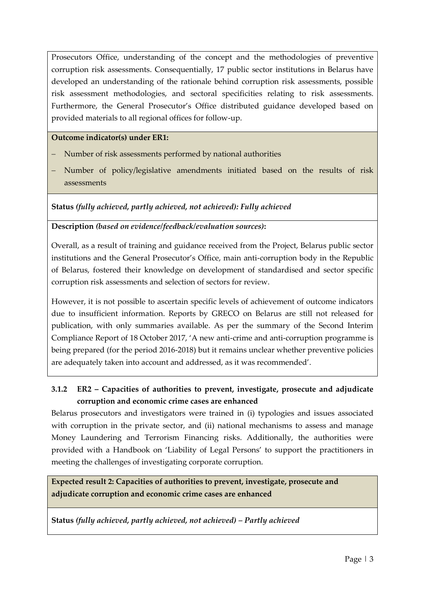Prosecutors Office, understanding of the concept and the methodologies of preventive corruption risk assessments. Consequentially, 17 public sector institutions in Belarus have developed an understanding of the rationale behind corruption risk assessments, possible risk assessment methodologies, and sectoral specificities relating to risk assessments. Furthermore, the General Prosecutor's Office distributed guidance developed based on provided materials to all regional offices for follow-up.

#### **Outcome indicator(s) under ER1:**

- Number of risk assessments performed by national authorities
- Number of policy/legislative amendments initiated based on the results of risk assessments

#### **Status** *(fully achieved, partly achieved, not achieved): Fully achieved*

#### **Description** *(based on evidence/feedback/evaluation sources)***:**

Overall, as a result of training and guidance received from the Project, Belarus public sector institutions and the General Prosecutor's Office, main anti-corruption body in the Republic of Belarus, fostered their knowledge on development of standardised and sector specific corruption risk assessments and selection of sectors for review.

However, it is not possible to ascertain specific levels of achievement of outcome indicators due to insufficient information. Reports by GRECO on Belarus are still not released for publication, with only summaries available. As per the summary of the Second Interim Compliance Report of 18 October 2017, 'A new anti-crime and anti-corruption programme is being prepared (for the period 2016-2018) but it remains unclear whether preventive policies are adequately taken into account and addressed, as it was recommended'.

# **3.1.2 ER2 – Capacities of authorities to prevent, investigate, prosecute and adjudicate corruption and economic crime cases are enhanced**

Belarus prosecutors and investigators were trained in (i) typologies and issues associated with corruption in the private sector, and (ii) national mechanisms to assess and manage Money Laundering and Terrorism Financing risks. Additionally, the authorities were provided with a Handbook on 'Liability of Legal Persons' to support the practitioners in meeting the challenges of investigating corporate corruption.

**Expected result 2: Capacities of authorities to prevent, investigate, prosecute and adjudicate corruption and economic crime cases are enhanced**

#### **Status** *(fully achieved, partly achieved, not achieved) – Partly achieved*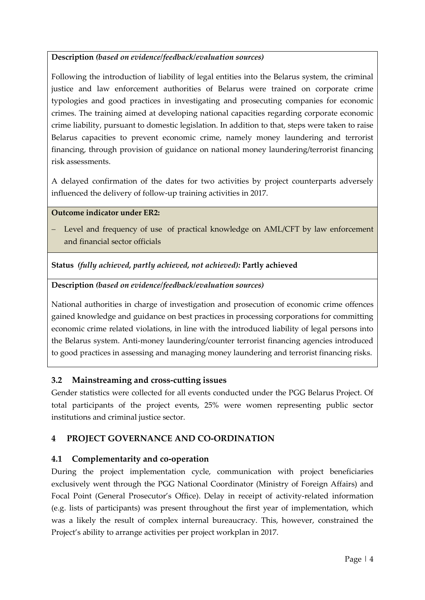## **Description** *(based on evidence/feedback/evaluation sources)*

Following the introduction of liability of legal entities into the Belarus system, the criminal justice and law enforcement authorities of Belarus were trained on corporate crime typologies and good practices in investigating and prosecuting companies for economic crimes. The training aimed at developing national capacities regarding corporate economic crime liability, pursuant to domestic legislation. In addition to that, steps were taken to raise Belarus capacities to prevent economic crime, namely money laundering and terrorist financing, through provision of guidance on national money laundering/terrorist financing risk assessments.

A delayed confirmation of the dates for two activities by project counterparts adversely influenced the delivery of follow-up training activities in 2017.

#### **Outcome indicator under ER2:**

- Level and frequency of use of practical knowledge on AML/CFT by law enforcement and financial sector officials

#### **Status** *(fully achieved, partly achieved, not achieved):* **Partly achieved**

#### **Description** *(based on evidence/feedback/evaluation sources)*

National authorities in charge of investigation and prosecution of economic crime offences gained knowledge and guidance on best practices in processing corporations for committing economic crime related violations, in line with the introduced liability of legal persons into the Belarus system. Anti-money laundering/counter terrorist financing agencies introduced to good practices in assessing and managing money laundering and terrorist financing risks.

## **3.2 Mainstreaming and cross-cutting issues**

Gender statistics were collected for all events conducted under the PGG Belarus Project. Of total participants of the project events, 25% were women representing public sector institutions and criminal justice sector.

## **4 PROJECT GOVERNANCE AND CO-ORDINATION**

## **4.1 Complementarity and co-operation**

During the project implementation cycle, communication with project beneficiaries exclusively went through the PGG National Coordinator (Ministry of Foreign Affairs) and Focal Point (General Prosecutor's Office). Delay in receipt of activity-related information (e.g. lists of participants) was present throughout the first year of implementation, which was a likely the result of complex internal bureaucracy. This, however, constrained the Project's ability to arrange activities per project workplan in 2017.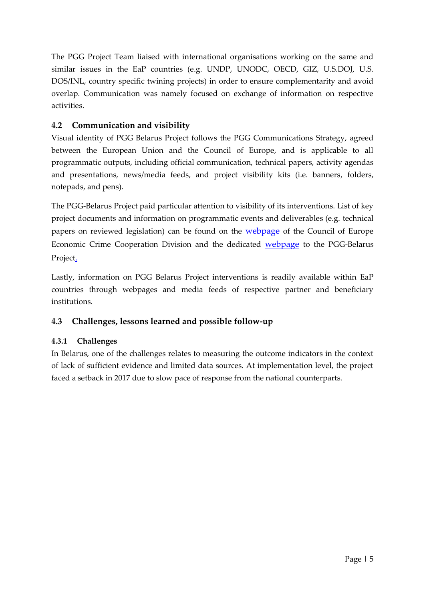The PGG Project Team liaised with international organisations working on the same and similar issues in the EaP countries (e.g. UNDP, UNODC, OECD, GIZ, U.S.DOJ, U.S. DOS/INL, country specific twining projects) in order to ensure complementarity and avoid overlap. Communication was namely focused on exchange of information on respective activities.

## **4.2 Communication and visibility**

Visual identity of PGG Belarus Project follows the PGG Communications Strategy, agreed between the European Union and the Council of Europe, and is applicable to all programmatic outputs, including official communication, technical papers, activity agendas and presentations, news/media feeds, and project visibility kits (i.e. banners, folders, notepads, and pens).

The PGG-Belarus Project paid particular attention to visibility of its interventions. List of key project documents and information on programmatic events and deliverables (e.g. technical papers on reviewed legislation) can be found on the **[webpage](http://www.coe.int/corruption)** of the Council of Europe Economic Crime Cooperation Division and the dedicated [webpage](https://www.coe.int/en/web/corruption/projects/pgg-belarus) to the PGG-Belarus Project.

Lastly, information on PGG Belarus Project interventions is readily available within EaP countries through webpages and media feeds of respective partner and beneficiary institutions.

# **4.3 Challenges, lessons learned and possible follow-up**

## **4.3.1 Challenges**

In Belarus, one of the challenges relates to measuring the outcome indicators in the context of lack of sufficient evidence and limited data sources. At implementation level, the project faced a setback in 2017 due to slow pace of response from the national counterparts.